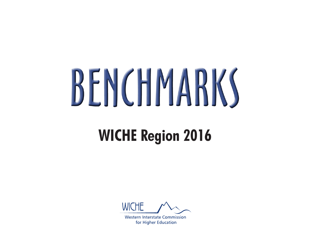# BENCHMARKS

## **WICHE Region 2016**



**Western Interstate Commission** for Higher Education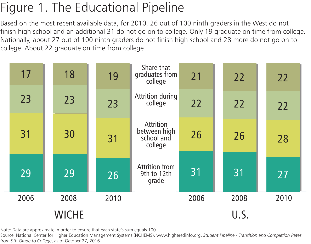## Figure 1. The Educational Pipeline

Based on the most recent available data, for 2010, 26 out of 100 ninth graders in the West do not finish high school and an additional 31 do not go on to college. Only 19 graduate on time from college. Nationally, about 27 out of 100 ninth graders do not finish high school and 28 more do not go on to college. About 22 graduate on time from college.

| 17           | 18   | 19   | Share that<br>graduates from<br>college                   | 21   | 22   | 22   |
|--------------|------|------|-----------------------------------------------------------|------|------|------|
| 23           | 23   | 23   | Attrition during<br>college                               | 22   | 22   | 22   |
| 31           | 30   | 31   | <b>Attrition</b><br>between high<br>school and<br>college | 26   | 26   | 28   |
| 29           | 29   | 26   | <b>Attrition from</b><br>9th to 12th<br>grade             | 31   | 31   | 27   |
| 2006         | 2008 | 2010 |                                                           | 2006 | 2008 | 2010 |
| <b>WICHE</b> |      |      |                                                           |      | U.S. |      |

Note: Data are approximate in order to ensure that each state's sum equals 100.

Source: National Center for Higher Education Management Systems (NCHEMS), www.higheredinfo.org, *Student Pipeline - Transition and Completion Rates from 9th Grade to College*, as of October 27, 2016.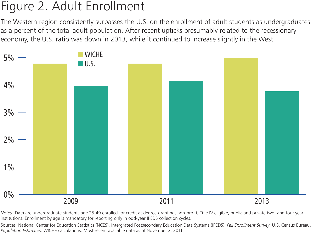#### Figure 2. Adult Enrollment

The Western region consistently surpasses the U.S. on the enrollment of adult students as undergraduates as a percent of the total adult population. After recent upticks presumably related to the recessionary economy, the U.S. ratio was down in 2013, while it continued to increase slightly in the West.



*Notes:* Data are undergraduate students age 25-49 enrolled for credit at degree-granting, non-profit, Title IV-eligible, public and private two- and four-year institutions. Enrollment by age is mandatory for reporting only in odd-year IPEDS collection cycles.

Sources: National Center for Education Statistics (NCES), Intergrated Postsecondary Education Data Systems (IPEDS), *Fall Enrollment Survey*. U.S. Census Bureau, *Population Estimates*. WICHE calculations. Most recent available data as of November 2, 2016.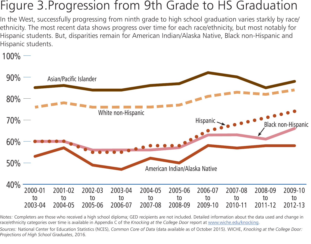#### Figure 3.Progression from 9th Grade to HS Graduation

In the West, successfully progressing from ninth grade to high school graduation varies starkly by race/ ethnicity. The most recent data shows progress over time for each race/ethnicity, but most notably for Hispanic students. But, disparities remain for American Indian/Alaska Native, Black non-Hispanic and Hispanic students.

 $100\%$  —



*Notes:* Completers are those who received a high school diploma; GED recipients are not included. Detailed information about the data used and change in race/ethnicity categories over time is available in Appendix C of the *Knocking at the College Door* report at [www.wiche.edu/knocking](http://www.wiche.edu/knocking).

*Sources:* National Center for Education Statistics (NCES), *Common Core of Data* (data available as of October 2015). WICHE, *Knocking at the College Door: Projections of High School Graduates*, 2016.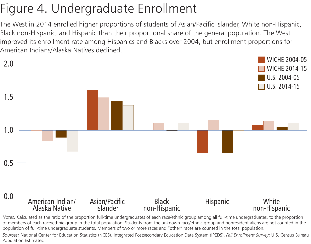## Figure 4. Undergraduate Enrollment

The West in 2014 enrolled higher proportions of students of Asian/Pacific Islander, White non-Hispanic, Black non-Hispanic, and Hispanic than their proportional share of the general population. The West improved its enrollment rate among Hispanics and Blacks over 2004, but enrollment proportions for American Indians/Alaska Natives declined.



of members of each race/ethnic group in the total population. Students from the unknown race/ethnic group and nonresident aliens are not counted in the population of full-time undergraduate students. Members of two or more races and "other" races are counted in the total population.

*Sources:* National Center for Education Statistics (NCES), Integrated Postsecondary Education Data System (IPEDS), *Fall Enrollment Survey*; U.S. Census Bureau Population Estimates.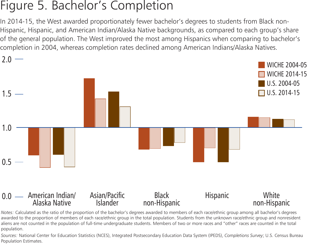#### Figure 5. Bachelor's Completion

In 2014-15, the West awarded proportionately fewer bachelor's degrees to students from Black non-Hispanic, Hispanic, and American Indian/Alaska Native backgrounds, as compared to each group's share of the general population. The West improved the most among Hispanics when comparing to bachelor's completion in 2004, whereas completion rates declined among American Indians/Alaska Natives.



*Notes:* Calculated as the ratio of the proportion of the bachelor's degrees awarded to members of each race/ethnic group among all bachelor's degrees awarded to the proportion of members of each race/ethnic group in the total population. Students from the unknown race/ethnic group and nonresident aliens are not counted in the population of full-time undergraduate students. Members of two or more races and "other" races are counted in the total population.

*Sources:* National Center for Education Statistics (NCES), Integrated Postsecondary Education Data System (IPEDS), *Completions Survey*; U.S. Census Bureau Population Estimates.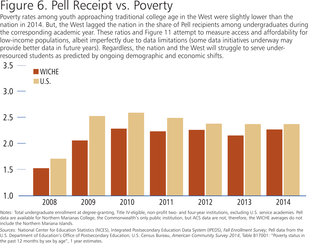#### Figure 6. Pell Receipt vs. Poverty

Poverty rates among youth approaching traditional college age in the West were slightly lower than the nation in 2014. But, the West lagged the nation in the share of Pell recipients among undergraduates during the corresponding academic year. These ratios and Figure 11 attempt to measure access and affordability for low-income populations, albeit imperfectly due to data limitations (some data initiatives underway may provide better data in future years). Regardless, the nation and the West will struggle to serve underresourced students as predicted by ongoing demographic and economic shifts.



*Notes:* Total undergraduate enrollment at degree-granting, Title IV-eligible, non-profit two- and four-year institutions, excluding U.S. service academies. Pell data are available for Northern Marianas College, the Commonwealth's only public institution, but ACS data are not; therefore, the WICHE averages do not include the Northern Mariana Islands.

*Sources:* National Center for Education Statistics (NCES), Integrated Postsecondary Education Data System (IPEDS), *Fall Enrollment Survey*; Pell data from the U.S. Department of Education's Office of Postsecondary Education; U.S. Census Bureau, *American Community Survey 2014*, Table B17001: "Poverty status in the past 12 months by sex by age", 1 year estimates.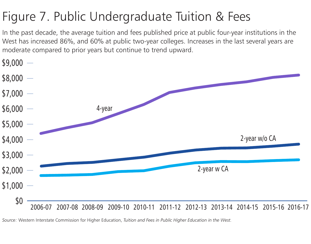## Figure 7. Public Undergraduate Tuition & Fees

In the past decade, the average tuition and fees published price at public four-year institutions in the West has increased 86%, and 60% at public two-year colleges. Increases in the last several years are moderate compared to prior years but continue to trend upward.



*Source:* Western Interstate Commission for Higher Education, *Tuition and Fees in Public Higher Education in the West.*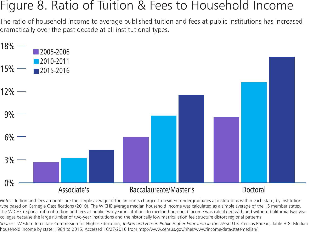#### Figure 8. Ratio of Tuition & Fees to Household Income

The ratio of household income to average published tuition and fees at public institutions has increased dramatically over the past decade at all institutional types.



*Notes:* Tuition and fees amounts are the simple average of the amounts charged to resident undergraduates at institutions within each state, by institution type based on Carnegie Classifications (2010). The WICHE average median household income was calculated as a simple average of the 15 member states. The WICHE regional ratio of tuition and fees at public two-year institutions to median household income was calculated with and without California two-year colleges because the large number of two-year institutions and the historically low matriculation fee structure distort regional patterns.

*Source:* Western Interstate Commission for Higher Education, *Tuition and Fees in Public Higher Education in the West*. U.S. Census Bureau, Table H-8: Median household income by state: 1984 to 2015. Accessed 10/27/2016 from http://www.census.gov/hhes/www/income/data/statemedian/.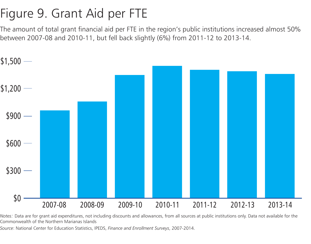## Figure 9. Grant Aid per FTE

The amount of total grant financial aid per FTE in the region's public institutions increased almost 50% between 2007-08 and 2010-11, but fell back slightly (6%) from 2011-12 to 2013-14.



*Notes:* Data are for grant aid expenditures, not including discounts and allowances, from all sources at public institutions only. Data not available for the Commonwealth of the Northern Marianas Islands

*Source*: National Center for Education Statistics, IPEDS, *Finance and Enrollment Surveys*, 2007-2014.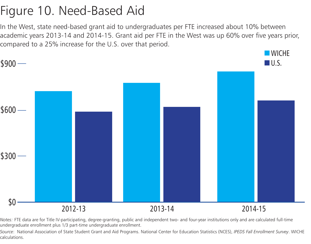## Figure 10. Need-Based Aid

In the West, state need-based grant aid to undergraduates per FTE increased about 10% between academic years 2013-14 and 2014-15. Grant aid per FTE in the West was up 60% over five years prior, compared to a 25% increase for the U.S. over that period.



*Notes:* FTE data are for Title IV-participating, degree-granting, public and independent two- and four-year institutions only and are calculated full-time undergraduate enrollment plus 1/3 part-time undergraduate enrollment.

*Source*: National Association of State Student Grant and Aid Programs. National Center for Education Statistics (NCES), *IPEDS Fall Enrollment Survey*. WICHE calculations.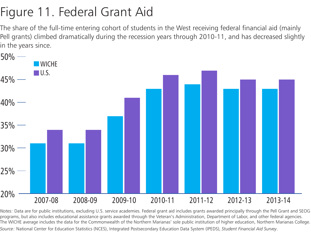## Figure 11. Federal Grant Aid

The share of the full-time entering cohort of students in the West receiving federal financial aid (mainly Pell grants) climbed dramatically during the recession years through 2010-11, and has decreased slightly in the years since.



*Notes:* Data are for public institutions, excluding U.S. service academies. Federal grant aid includes grants awarded principally through the Pell Grant and SEOG programs, but also includes educational assistance grants awarded through the Veteran's Administration, Department of Labor, and other federal agencies. The WICHE average includes the data for the Commonwealth of the Northern Marianas' sole public institution of higher education, Northern Marianas College. *Source:* National Center for Education Statistics (NCES), Integrated Postsecondary Education Data System (IPEDS), *Student Financial Aid Survey*.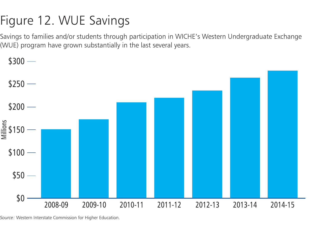## Figure 12. WUE Savings

Savings to families and/or students through participation in WICHE's Western Undergraduate Exchange (WUE) program have grown substantially in the last several years.



*Source:* Western Interstate Commission for Higher Education.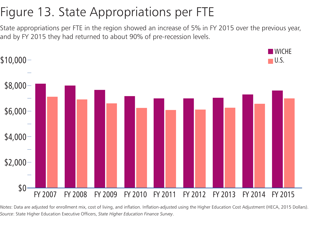## Figure 13. State Appropriations per FTE

State appropriations per FTE in the region showed an increase of 5% in FY 2015 over the previous year, and by FY 2015 they had returned to about 90% of pre-recession levels.



*Notes*: Data are adjusted for enrollment mix, cost of living, and inflation. Inflation-adjusted using the Higher Education Cost Adjustment (HECA, 2015 Dollars). *Source*: State Higher Education Executive Officers, *State Higher Education Finance Survey*.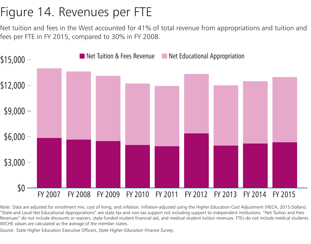## Figure 14. Revenues per FTE

Net tuition and fees in the West accounted for 41% of total revenue from appropriations and tuition and fees per FTE in FY 2015, compared to 30% in FY 2008.



*Note:* Data are adjusted for enrollment mix, cost of living, and inflation. Inflation-adjusted using the Higher Education Cost Adjustment (HECA, 2015 Dollars). "State and Local Net Educational Appropriations" are state tax and non-tax support not including support to independent institutions. "Net Tuition and Fees Revenues" do not include discounts or waivers, state-funded student financial aid, and medical student tuition revenues. FTEs do not include medical students. WICHE values are calculated as the average of the member states.

*Source:* State Higher Education Executive Officers, *State Higher Education Finance Survey*.